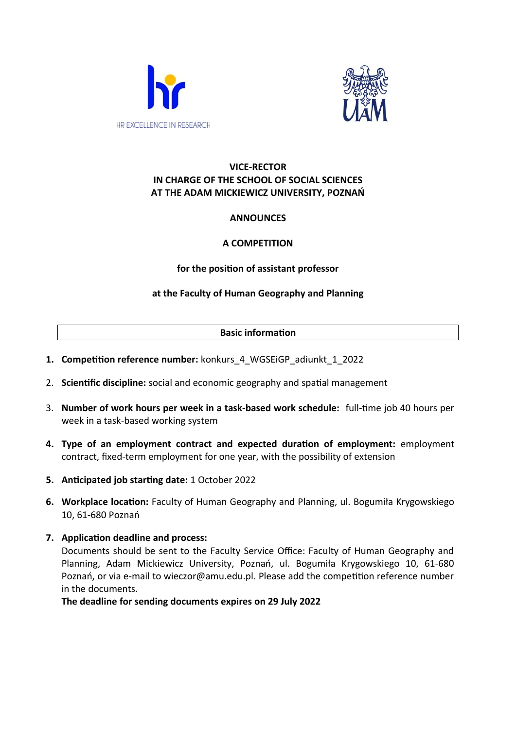



## **VICE-RECTOR IN CHARGE OF THE SCHOOL OF SOCIAL SCIENCES AT THE ADAM MICKIEWICZ UNIVERSITY, POZNAŃ**

# **ANNOUNCES**

# **A COMPETITION**

### **for the position of assistant professor**

# **at the Faculty of Human Geography and Planning**

#### **Basic information**

- **1. Competition reference number:** konkurs\_4\_WGSEiGP\_adiunkt\_1\_2022
- 2. **Scientific discipline:** social and economic geography and spatial management
- 3. **Number of work hours per week in a task-based work schedule:** full-time job 40 hours per week in a task-based working system
- **4. Type of an employment contract and expected duration of employment:** employment contract, fixed-term employment for one year, with the possibility of extension
- **5. Anticipated job starting date:** 1 October 2022
- **6. Workplace location:** Faculty of Human Geography and Planning, ul. Bogumiła Krygowskiego 10, 61-680 Poznań
- **7. Application deadline and process:** Documents should be sent to the Faculty Service Office: Faculty of Human Geography and Planning, Adam Mickiewicz University, Poznań, ul. Bogumiła Krygowskiego 10, 61-680 Poznań, or via e-mail to wieczor@amu.edu.pl. Please add the competition reference number in the documents.

**The deadline for sending documents expires on 29 July 2022**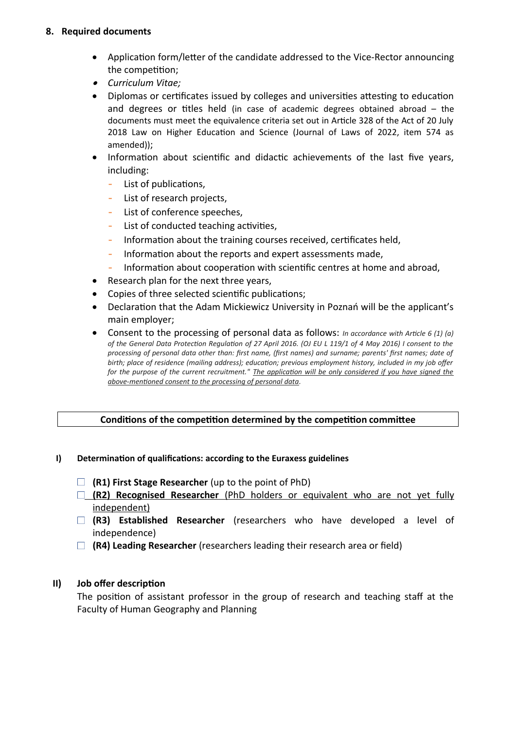#### **8. Required documents**

- Application form/letter of the candidate addressed to the Vice-Rector announcing the competition;
- *Curriculum Vitae;*
- Diplomas or certificates issued by colleges and universities attesting to education and degrees or titles held (in case of academic degrees obtained abroad – the documents must meet the equivalence criteria set out in Article 328 of the Act of 20 July 2018 Law on Higher Education and Science (Journal of Laws of 2022, item 574 as amended));
- Information about scientific and didactic achievements of the last five years, including:
	- List of publications,
	- List of research projects,
	- List of conference speeches,
	- List of conducted teaching activities,
	- Information about the training courses received, certificates held,
	- Information about the reports and expert assessments made,
	- Information about cooperation with scientific centres at home and abroad,
- Research plan for the next three years,
- Copies of three selected scientific publications;
- Declaration that the Adam Mickiewicz University in Poznań will be the applicant's main employer;
- Consent to the processing of personal data as follows: *In accordance with Article 6 (1) (a) of the General Data Protection Regulation of 27 April 2016. (OJ EU L 119/1 of 4 May 2016) I consent to the processing of personal data other than: first name, (first names) and surname; parents' first names; date of birth; place of residence (mailing address); education; previous employment history, included in my job offer for the purpose of the current recruitment." The application will be only considered if you have signed the above-mentioned consent to the processing of personal data.*

### **Conditions of the competition determined by the competition committee**

#### **I) Determination of qualifications: according to the Euraxess guidelines**

- **(R1) First Stage Researcher** (up to the point of PhD)
- **(R2) Recognised Researcher** (PhD holders or equivalent who are not yet fully independent)
- **(R3) Established Researcher** (researchers who have developed a level of independence)
- **(R4) Leading Researcher** (researchers leading their research area or field)

### **II) Job offer description**

The position of assistant professor in the group of research and teaching staff at the Faculty of Human Geography and Planning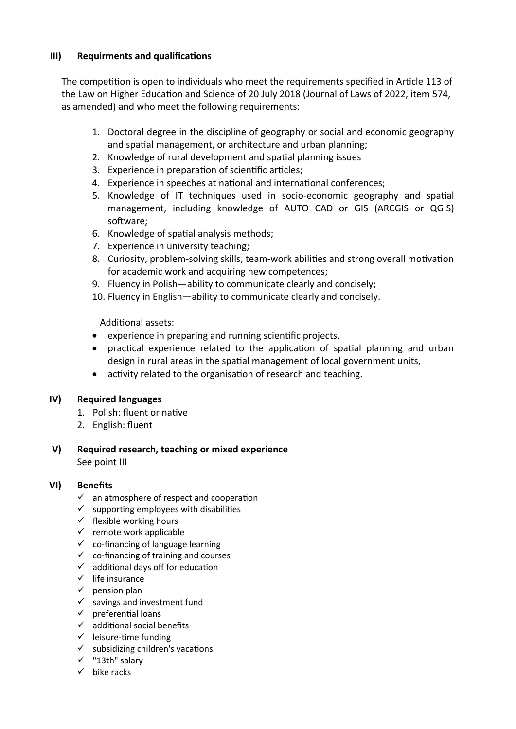### **III) Requirments and qualifications**

The competition is open to individuals who meet the requirements specified in Article 113 of the Law on Higher Education and Science of 20 July 2018 (Journal of Laws of 2022, item 574, as amended) and who meet the following requirements:

- 1. Doctoral degree in the discipline of geography or social and economic geography and spatial management, or architecture and urban planning;
- 2. Knowledge of rural development and spatial planning issues
- 3. Experience in preparation of scientific articles;
- 4. Experience in speeches at national and international conferences;
- 5. Knowledge of IT techniques used in socio-economic geography and spatial management, including knowledge of AUTO CAD or GIS (ARCGIS or QGIS) software;
- 6. Knowledge of spatial analysis methods;
- 7. Experience in university teaching;
- 8. Curiosity, problem-solving skills, team-work abilities and strong overall motivation for academic work and acquiring new competences;
- 9. Fluency in Polish—ability to communicate clearly and concisely;
- 10. Fluency in English—ability to communicate clearly and concisely.

Additional assets:

- experience in preparing and running scientific projects,
- practical experience related to the application of spatial planning and urban design in rural areas in the spatial management of local government units,
- activity related to the organisation of research and teaching.

### **IV) Required languages**

- 1. Polish: fluent or native
- 2. English: fluent
- **V) Required research, teaching or mixed experience** See point III

#### **VI) Benefits**

- $\checkmark$  an atmosphere of respect and cooperation
- $\checkmark$  supporting employees with disabilities
- $\checkmark$  flexible working hours
- $\checkmark$  remote work applicable
- $\checkmark$  co-financing of language learning
- $\checkmark$  co-financing of training and courses
- $\checkmark$  additional days off for education
- $\checkmark$  life insurance
- $\checkmark$  pension plan
- $\checkmark$  savings and investment fund
- $\checkmark$  preferential loans
- $\checkmark$  additional social benefits
- $\checkmark$  leisure-time funding
- $\checkmark$  subsidizing children's vacations
- $\checkmark$  "13th" salary
- $\checkmark$  bike racks